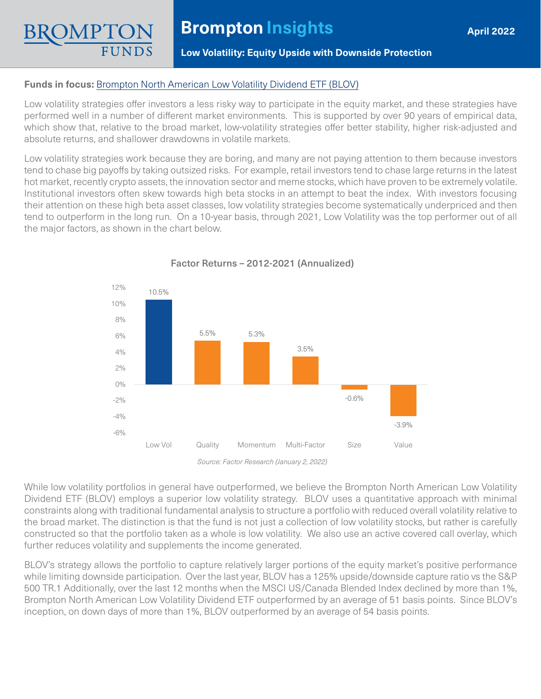## **Low Volatility: Equity Upside with Downside Protection**

### **Funds in focus:** [Brompton North American Low Volatility Dividend ETF \(BLOV\)](https://www.bromptongroup.com/product/brompton-north-american-low-volatility-dividend-etf/)

Low volatility strategies offer investors a less risky way to participate in the equity market, and these strategies have performed well in a number of different market environments. This is supported by over 90 years of empirical data, which show that, relative to the broad market, low-volatility strategies offer better stability, higher risk-adjusted and absolute returns, and shallower drawdowns in volatile markets.

Low volatility strategies work because they are boring, and many are not paying attention to them because investors tend to chase big payoffs by taking outsized risks. For example, retail investors tend to chase large returns in the latest hot market, recently crypto assets, the innovation sector and meme stocks, which have proven to be extremely volatile. Institutional investors often skew towards high beta stocks in an attempt to beat the index. With investors focusing their attention on these high beta asset classes, low volatility strategies become systematically underpriced and then tend to outperform in the long run. On a 10-year basis, through 2021, Low Volatility was the top performer out of all the major factors, as shown in the chart below.



Factor Returns – 2012-2021 (Annualized)

While low volatility portfolios in general have outperformed, we believe the Brompton North American Low Volatility Dividend ETF (BLOV) employs a superior low volatility strategy. BLOV uses a quantitative approach with minimal constraints along with traditional fundamental analysis to structure a portfolio with reduced overall volatility relative to the broad market. The distinction is that the fund is not just a collection of low volatility stocks, but rather is carefully constructed so that the portfolio taken as a whole is low volatility. We also use an active covered call overlay, which further reduces volatility and supplements the income generated.

BLOV's strategy allows the portfolio to capture relatively larger portions of the equity market's positive performance while limiting downside participation. Over the last year, BLOV has a 125% upside/downside capture ratio vs the S&P 500 TR.1 Additionally, over the last 12 months when the MSCI US/Canada Blended Index declined by more than 1%, Brompton North American Low Volatility Dividend ETF outperformed by an average of 51 basis points. Since BLOV's inception, on down days of more than 1%, BLOV outperformed by an average of 54 basis points.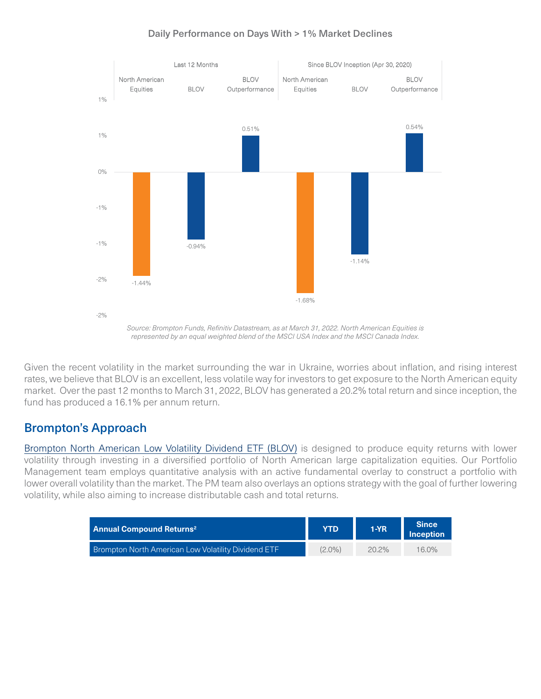

### Daily Performance on Days With > 1% Market Declines

*Source: Brompton Funds, Refinitiv Datastream, as at March 31, 2022. North American Equities is represented by an equal weighted blend of the MSCI USA Index and the MSCI Canada Index.* 

Given the recent volatility in the market surrounding the war in Ukraine, worries about inflation, and rising interest rates, we believe that BLOV is an excellent, less volatile way for investors to get exposure to the North American equity market. Over the past 12 months to March 31, 2022, BLOV has generated a 20.2% total return and since inception, the fund has produced a 16.1% per annum return.

# Brompton's Approach

[Brompton North American Low Volatility Dividend ETF \(BLOV\)](https://www.bromptongroup.com/product/brompton-north-american-low-volatility-dividend-etf/) is designed to produce equity returns with lower volatility through investing in a diversified portfolio of North American large capitalization equities. Our Portfolio Management team employs quantitative analysis with an active fundamental overlay to construct a portfolio with lower overall volatility than the market. The PM team also overlays an options strategy with the goal of further lowering volatility, while also aiming to increase distributable cash and total returns.

| <b>Annual Compound Returns<sup>2</sup></b>                 | YTD       | $1-YR$   | <b>Since</b><br><b>Inception</b> |
|------------------------------------------------------------|-----------|----------|----------------------------------|
| <b>Brompton North American Low Volatility Dividend ETF</b> | $(2.0\%)$ | $20.2\%$ | 16.0%                            |